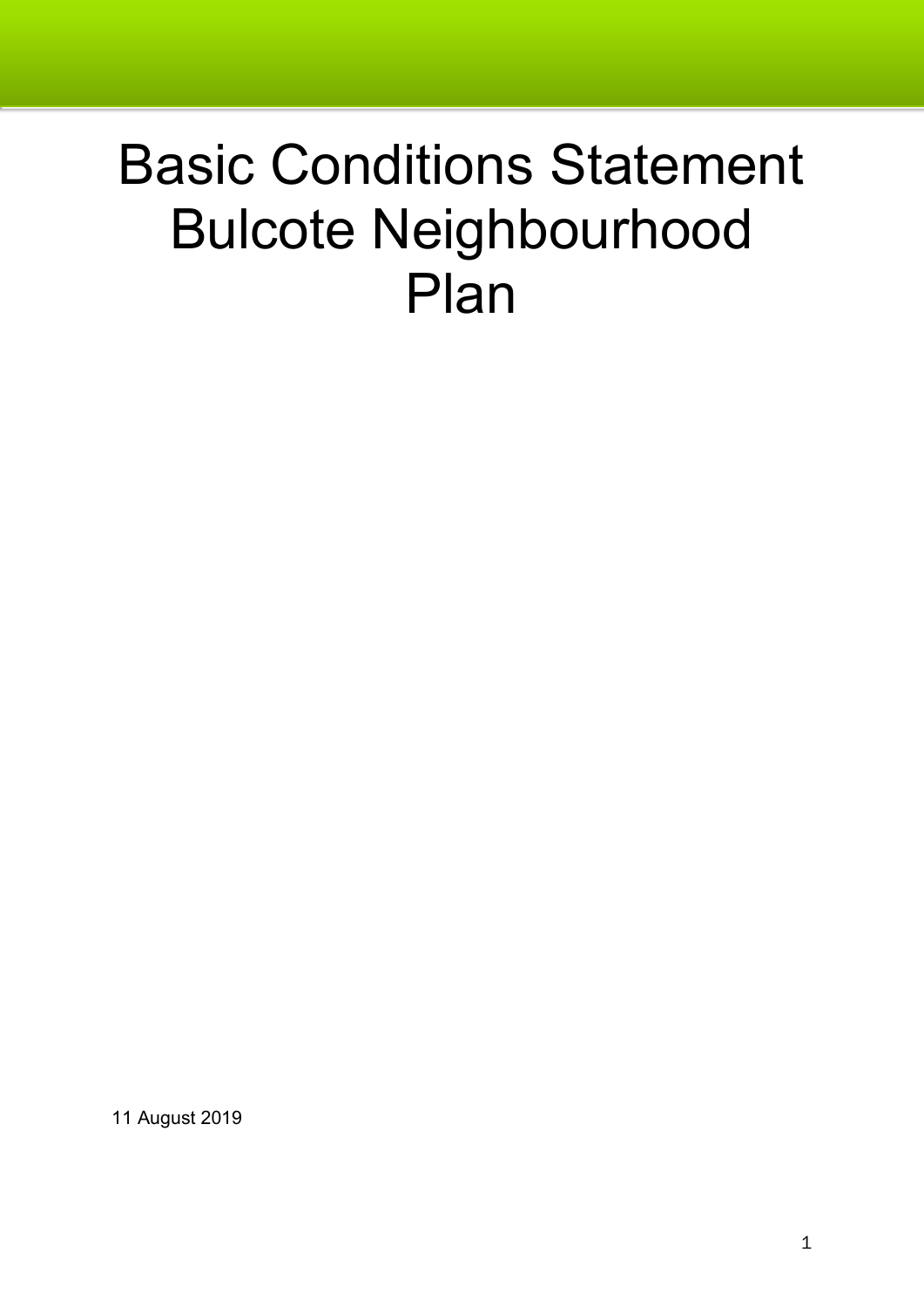# Basic Conditions Statement Bulcote Neighbourhood Plan

11 August 2019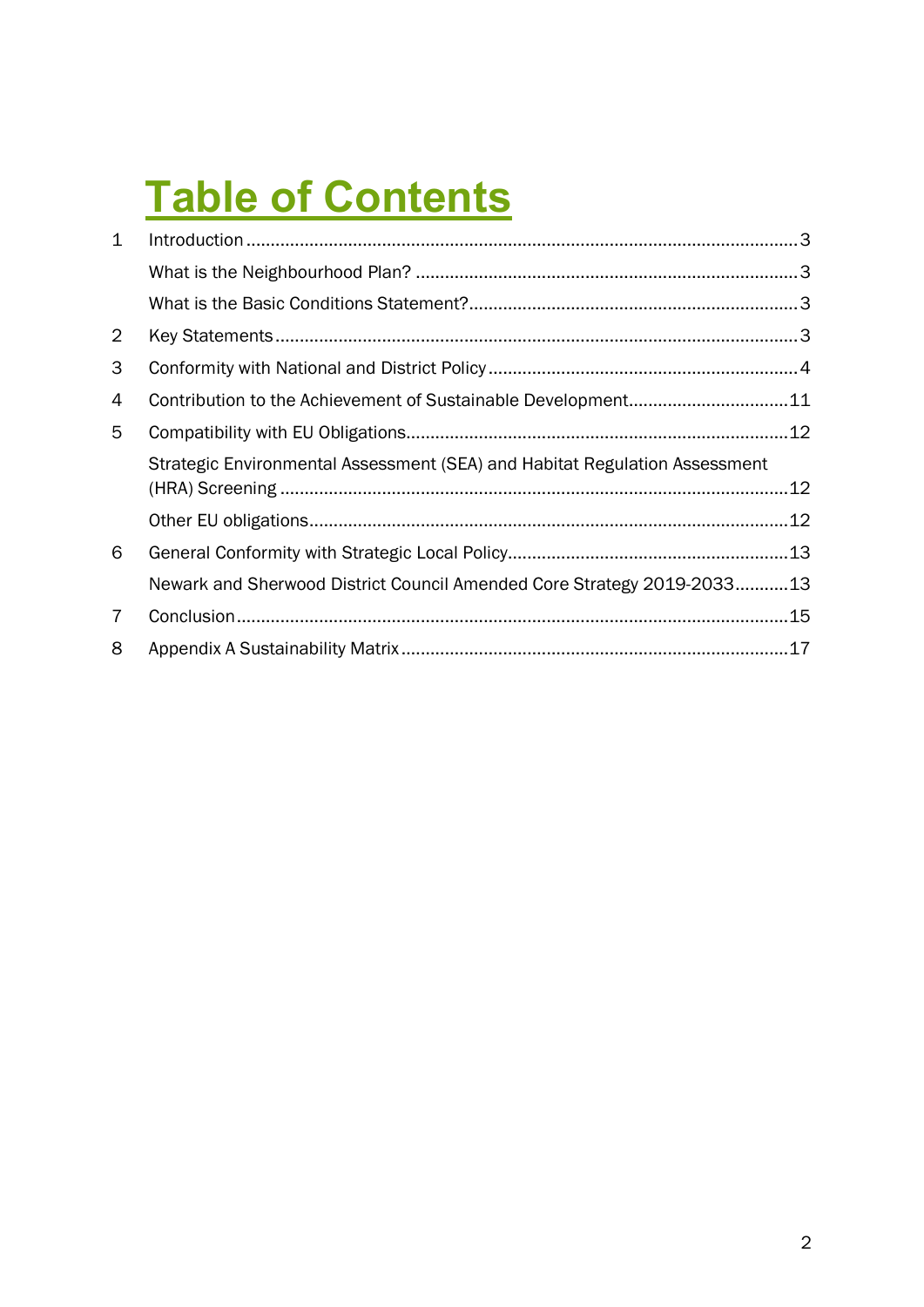## **Table of Contents**

| $\mathbf{1}$   |                                                                            |  |
|----------------|----------------------------------------------------------------------------|--|
|                |                                                                            |  |
|                |                                                                            |  |
| $\overline{2}$ |                                                                            |  |
| 3              |                                                                            |  |
| 4              | Contribution to the Achievement of Sustainable Development11               |  |
| 5              |                                                                            |  |
|                | Strategic Environmental Assessment (SEA) and Habitat Regulation Assessment |  |
|                |                                                                            |  |
| 6              |                                                                            |  |
|                | Newark and Sherwood District Council Amended Core Strategy 2019-203313     |  |
| 7              |                                                                            |  |
| 8              |                                                                            |  |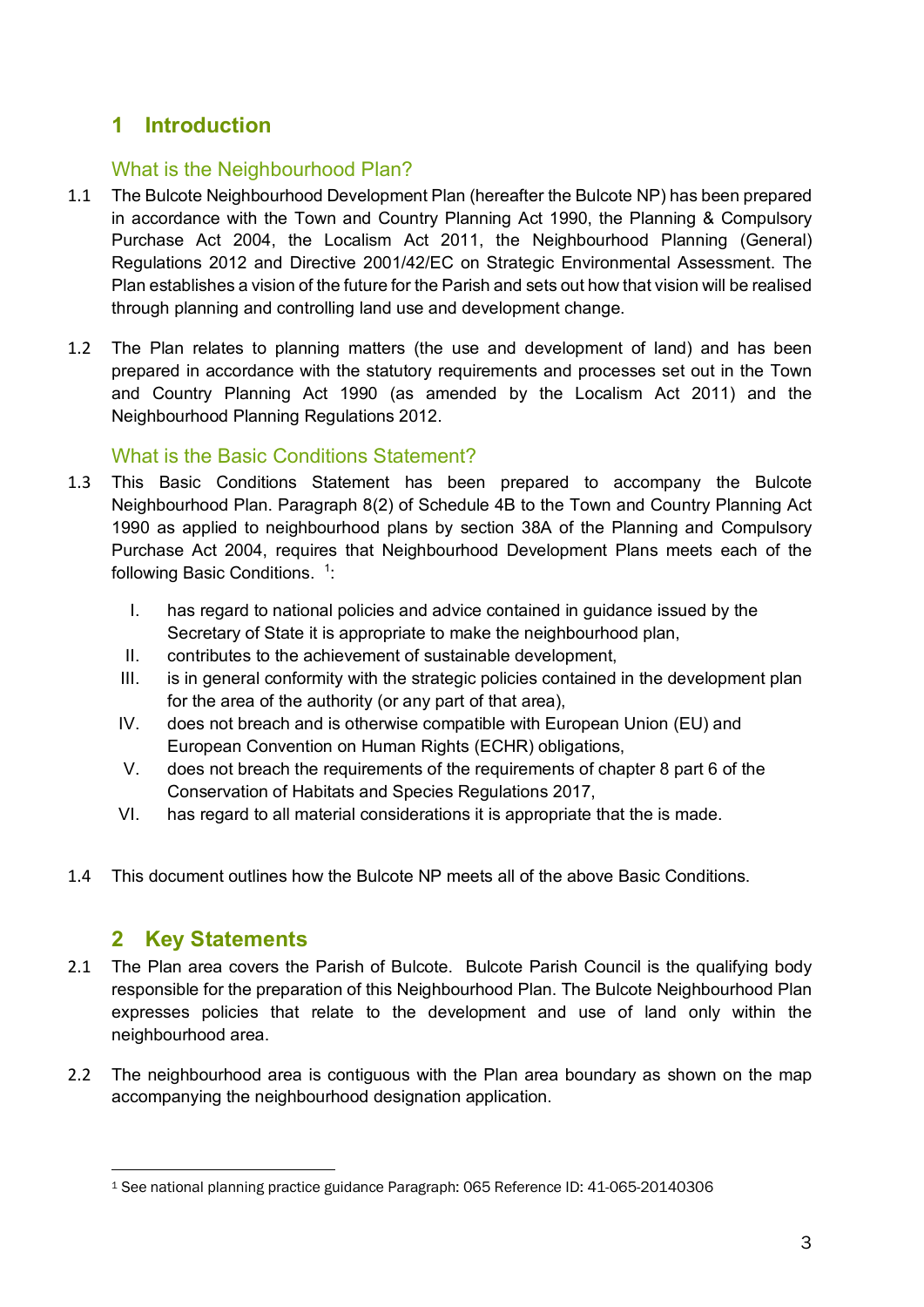#### **1 Introduction**

#### What is the Neighbourhood Plan?

- 1.1 The Bulcote Neighbourhood Development Plan (hereafter the Bulcote NP) has been prepared in accordance with the Town and Country Planning Act 1990, the Planning & Compulsory Purchase Act 2004, the Localism Act 2011, the Neighbourhood Planning (General) Regulations 2012 and Directive 2001/42/EC on Strategic Environmental Assessment. The Plan establishes a vision of the future for the Parish and sets out how that vision will be realised through planning and controlling land use and development change.
- 1.2 The Plan relates to planning matters (the use and development of land) and has been prepared in accordance with the statutory requirements and processes set out in the Town and Country Planning Act 1990 (as amended by the Localism Act 2011) and the Neighbourhood Planning Regulations 2012.

#### What is the Basic Conditions Statement?

- 1.3 This Basic Conditions Statement has been prepared to accompany the Bulcote Neighbourhood Plan. Paragraph 8(2) of Schedule 4B to the Town and Country Planning Act 1990 as applied to neighbourhood plans by section 38A of the Planning and Compulsory Purchase Act 2004, requires that Neighbourhood Development Plans meets each of the following Basic Conditions. <sup>1</sup>:
	- I. has regard to national policies and advice contained in guidance issued by the Secretary of State it is appropriate to make the neighbourhood plan,
	- II. contributes to the achievement of sustainable development,
	- III. is in general conformity with the strategic policies contained in the development plan for the area of the authority (or any part of that area),
	- IV. does not breach and is otherwise compatible with European Union (EU) and European Convention on Human Rights (ECHR) obligations,
	- V. does not breach the requirements of the requirements of chapter 8 part 6 of the Conservation of Habitats and Species Regulations 2017,
	- VI. has regard to all material considerations it is appropriate that the is made.
- 1.4 This document outlines how the Bulcote NP meets all of the above Basic Conditions.

#### **2 Key Statements**

- 2.1 The Plan area covers the Parish of Bulcote. Bulcote Parish Council is the qualifying body responsible for the preparation of this Neighbourhood Plan. The Bulcote Neighbourhood Plan expresses policies that relate to the development and use of land only within the neighbourhood area.
- 2.2 The neighbourhood area is contiguous with the Plan area boundary as shown on the map accompanying the neighbourhood designation application.

<sup>1</sup> See national planning practice guidance Paragraph: 065 Reference ID: 41-065-20140306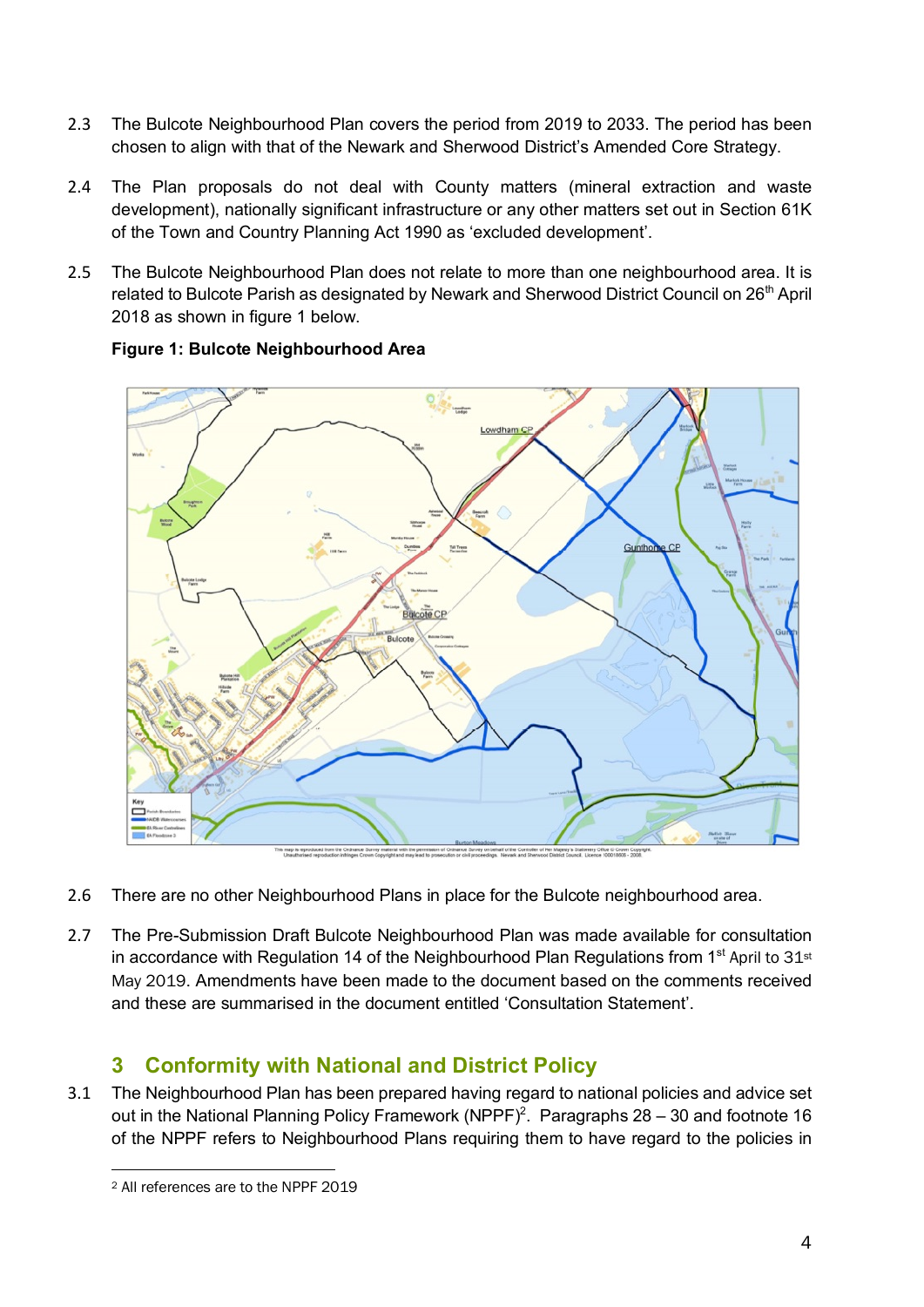- 2.3 The Bulcote Neighbourhood Plan covers the period from 2019 to 2033. The period has been chosen to align with that of the Newark and Sherwood District's Amended Core Strategy.
- 2.4 The Plan proposals do not deal with County matters (mineral extraction and waste development), nationally significant infrastructure or any other matters set out in Section 61K of the Town and Country Planning Act 1990 as 'excluded development'.
- 2.5 The Bulcote Neighbourhood Plan does not relate to more than one neighbourhood area. It is related to Bulcote Parish as designated by Newark and Sherwood District Council on 26<sup>th</sup> April 2018 as shown in figure 1 below.



#### **Figure 1: Bulcote Neighbourhood Area**

- 2.6 There are no other Neighbourhood Plans in place for the Bulcote neighbourhood area.
- 2.7 The Pre-Submission Draft Bulcote Neighbourhood Plan was made available for consultation in accordance with Regulation 14 of the Neighbourhood Plan Regulations from 1<sup>st</sup> April to  $31st$ May 2019. Amendments have been made to the document based on the comments received and these are summarised in the document entitled 'Consultation Statement'.

#### **3 Conformity with National and District Policy**

3.1 The Neighbourhood Plan has been prepared having regard to national policies and advice set out in the National Planning Policy Framework (NPPF)<sup>2</sup>. Paragraphs  $28 - 30$  and footnote 16 of the NPPF refers to Neighbourhood Plans requiring them to have regard to the policies in

<sup>2</sup> All references are to the NPPF 2019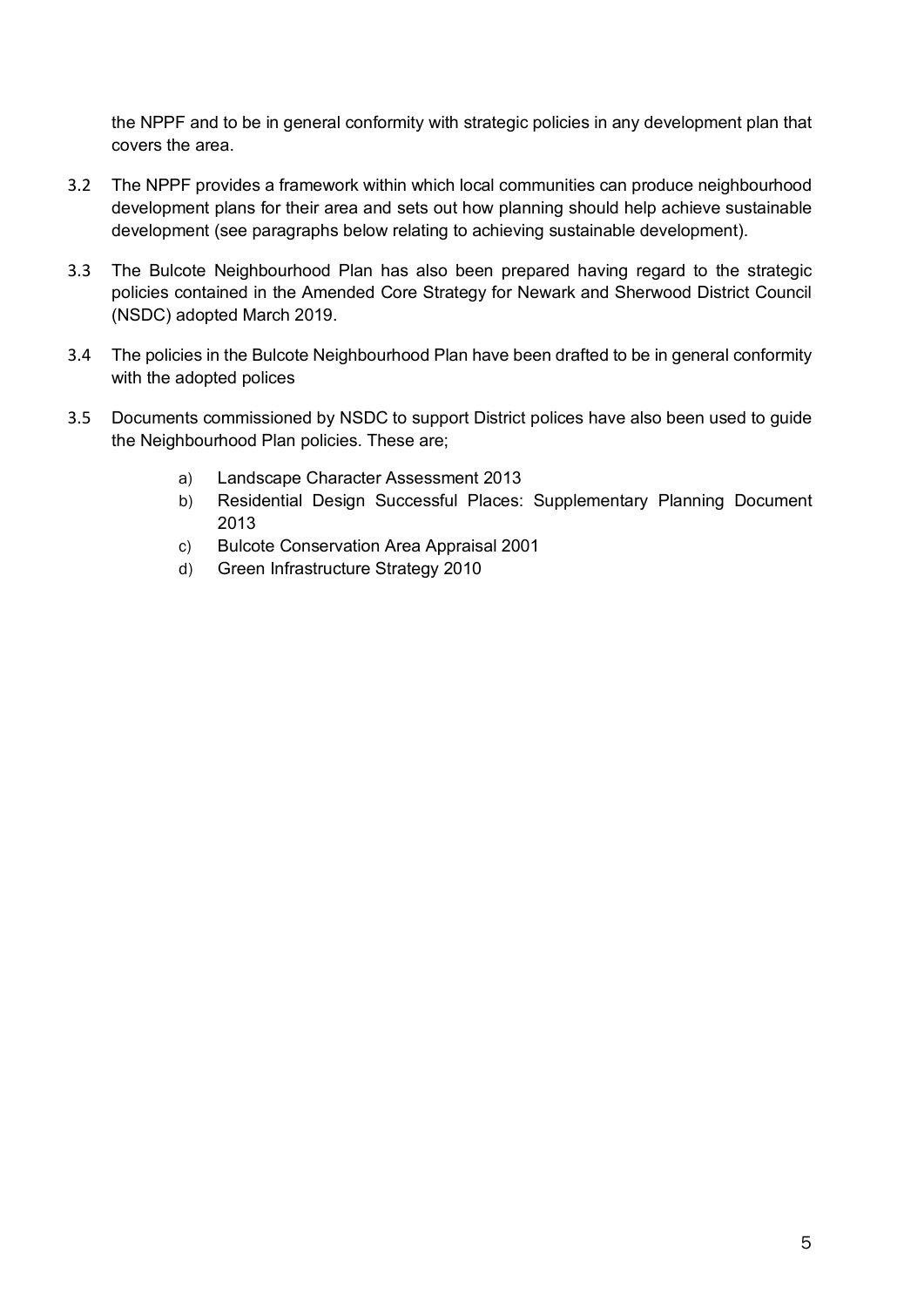the NPPF and to be in general conformity with strategic policies in any development plan that covers the area.

- 3.2 The NPPF provides a framework within which local communities can produce neighbourhood development plans for their area and sets out how planning should help achieve sustainable development (see paragraphs below relating to achieving sustainable development).
- 3.3 The Bulcote Neighbourhood Plan has also been prepared having regard to the strategic policies contained in the Amended Core Strategy for Newark and Sherwood District Council (NSDC) adopted March 2019.
- 3.4 The policies in the Bulcote Neighbourhood Plan have been drafted to be in general conformity with the adopted polices
- 3.5 Documents commissioned by NSDC to support District polices have also been used to guide the Neighbourhood Plan policies. These are;
	- a) Landscape Character Assessment 2013
	- b) Residential Design Successful Places: Supplementary Planning Document 2013
	- c) Bulcote Conservation Area Appraisal 2001
	- d) Green Infrastructure Strategy 2010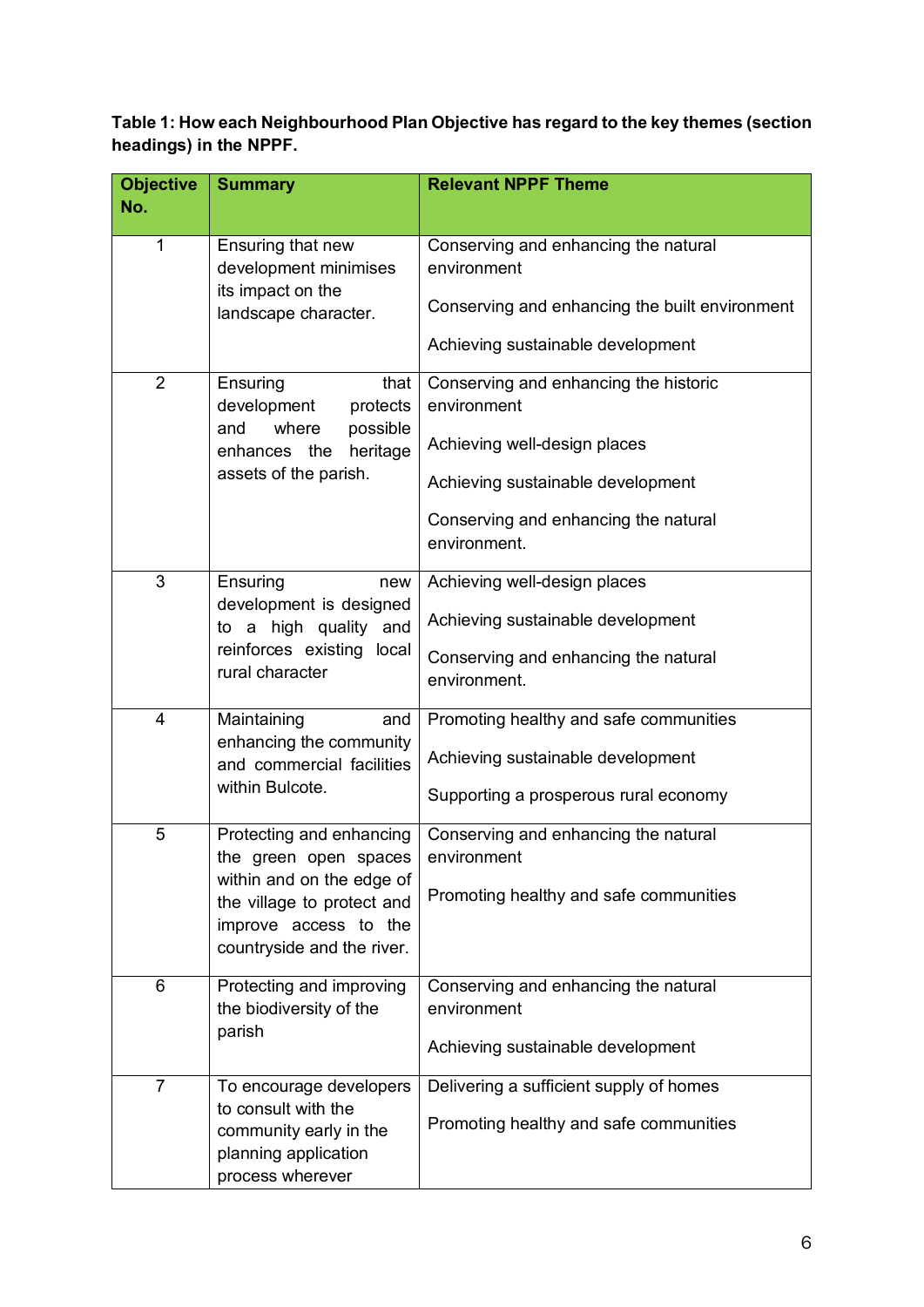**Table 1: How each Neighbourhood Plan Objective has regard to the key themes (section headings) in the NPPF.**

| <b>Objective</b><br>No. | <b>Summary</b>                                                        | <b>Relevant NPPF Theme</b>                           |  |  |
|-------------------------|-----------------------------------------------------------------------|------------------------------------------------------|--|--|
|                         |                                                                       |                                                      |  |  |
| 1                       | Ensuring that new                                                     | Conserving and enhancing the natural                 |  |  |
|                         | development minimises<br>its impact on the                            | environment                                          |  |  |
|                         | landscape character.                                                  | Conserving and enhancing the built environment       |  |  |
|                         |                                                                       | Achieving sustainable development                    |  |  |
| $\overline{2}$          | Ensuring<br>that                                                      | Conserving and enhancing the historic                |  |  |
|                         | development<br>protects                                               | environment                                          |  |  |
|                         | where<br>possible<br>and<br>enhances the<br>heritage                  | Achieving well-design places                         |  |  |
|                         | assets of the parish.                                                 | Achieving sustainable development                    |  |  |
|                         |                                                                       | Conserving and enhancing the natural<br>environment. |  |  |
| 3                       | Ensuring<br>new                                                       | Achieving well-design places                         |  |  |
|                         | development is designed                                               |                                                      |  |  |
|                         | to a high quality and<br>reinforces existing<br>local                 | Achieving sustainable development                    |  |  |
|                         |                                                                       | Conserving and enhancing the natural                 |  |  |
|                         | rural character                                                       | environment.                                         |  |  |
| $\overline{4}$          | Maintaining<br>and                                                    | Promoting healthy and safe communities               |  |  |
|                         | enhancing the community<br>and commercial facilities                  | Achieving sustainable development                    |  |  |
|                         | within Bulcote.                                                       | Supporting a prosperous rural economy                |  |  |
|                         |                                                                       |                                                      |  |  |
| 5                       | Protecting and enhancing<br>the green open spaces                     | Conserving and enhancing the natural<br>environment  |  |  |
|                         | within and on the edge of                                             |                                                      |  |  |
|                         | the village to protect and                                            | Promoting healthy and safe communities               |  |  |
|                         | improve access to the                                                 |                                                      |  |  |
|                         | countryside and the river.                                            |                                                      |  |  |
| 6                       | Protecting and improving                                              | Conserving and enhancing the natural                 |  |  |
|                         | the biodiversity of the                                               | environment                                          |  |  |
|                         | parish                                                                |                                                      |  |  |
|                         |                                                                       | Achieving sustainable development                    |  |  |
| 7                       | To encourage developers                                               | Delivering a sufficient supply of homes              |  |  |
|                         | to consult with the<br>community early in the<br>planning application | Promoting healthy and safe communities               |  |  |
|                         | process wherever                                                      |                                                      |  |  |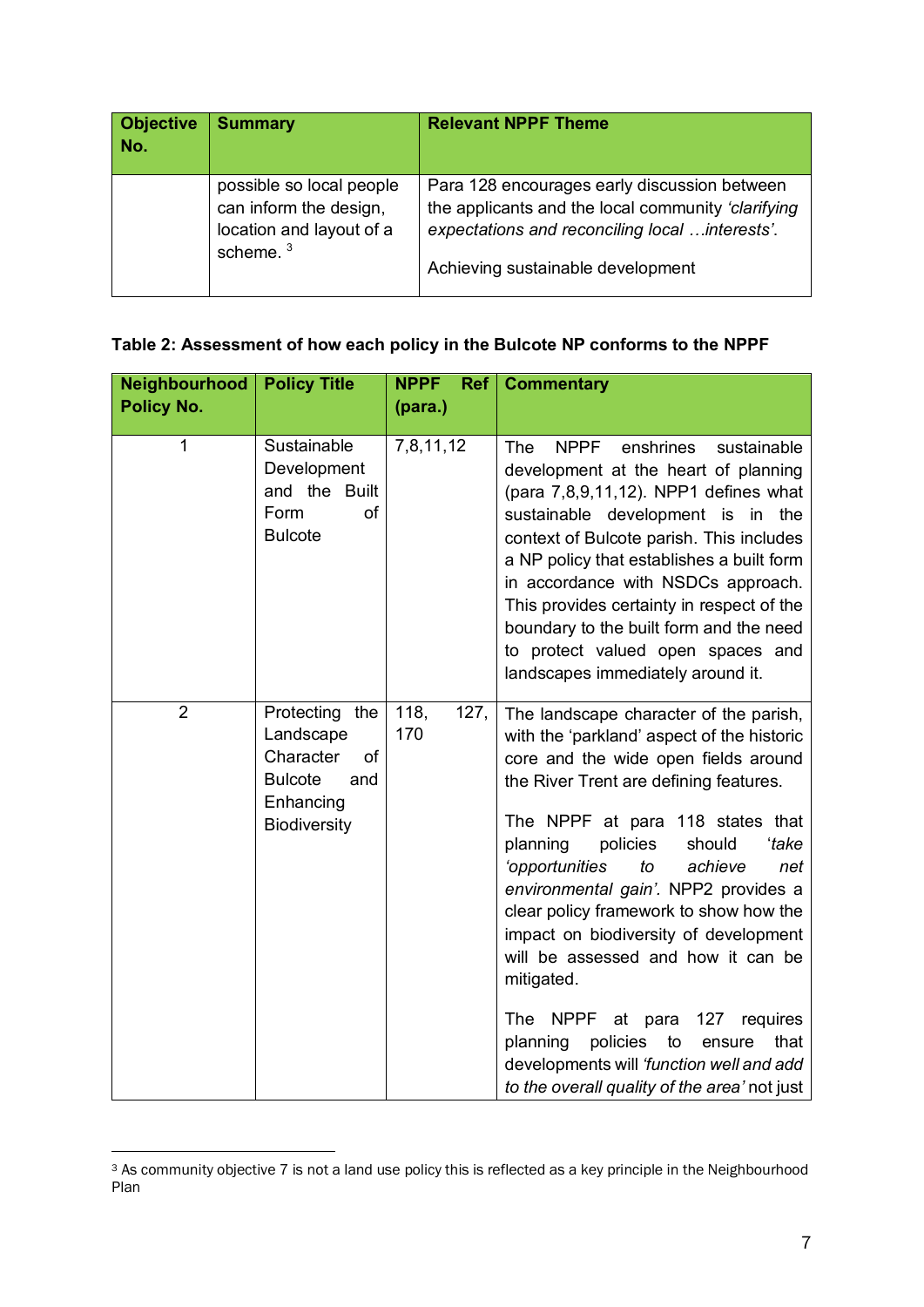| <b>Objective</b><br>No. | <b>Summary</b>                                                                                | <b>Relevant NPPF Theme</b>                                                                                                                                                                 |  |  |
|-------------------------|-----------------------------------------------------------------------------------------------|--------------------------------------------------------------------------------------------------------------------------------------------------------------------------------------------|--|--|
|                         | possible so local people<br>can inform the design,<br>location and layout of a<br>scheme. $3$ | Para 128 encourages early discussion between<br>the applicants and the local community 'clarifying<br>expectations and reconciling local  interests'.<br>Achieving sustainable development |  |  |

#### **Table 2: Assessment of how each policy in the Bulcote NP conforms to the NPPF**

| Neighbourhood     | <b>Policy Title</b>                                                                                         | <b>NPPF</b><br>Ref  | <b>Commentary</b>                                                                                                                                                                                                                                                                                                                                                                                                                                                                                                                                                                                                                                                    |  |
|-------------------|-------------------------------------------------------------------------------------------------------------|---------------------|----------------------------------------------------------------------------------------------------------------------------------------------------------------------------------------------------------------------------------------------------------------------------------------------------------------------------------------------------------------------------------------------------------------------------------------------------------------------------------------------------------------------------------------------------------------------------------------------------------------------------------------------------------------------|--|
| <b>Policy No.</b> |                                                                                                             | (para.)             |                                                                                                                                                                                                                                                                                                                                                                                                                                                                                                                                                                                                                                                                      |  |
| 1                 | Sustainable<br>Development<br>and the Built<br>Form<br>of<br><b>Bulcote</b>                                 | 7,8,11,12           | <b>NPPF</b><br>enshrines<br><b>The</b><br>sustainable<br>development at the heart of planning<br>(para 7,8,9,11,12). NPP1 defines what<br>sustainable development is in the<br>context of Bulcote parish. This includes<br>a NP policy that establishes a built form<br>in accordance with NSDCs approach.<br>This provides certainty in respect of the<br>boundary to the built form and the need<br>to protect valued open spaces and<br>landscapes immediately around it.                                                                                                                                                                                         |  |
| $\overline{2}$    | Protecting the<br>Landscape<br>Character<br>of<br><b>Bulcote</b><br>and<br>Enhancing<br><b>Biodiversity</b> | 118,<br>127,<br>170 | The landscape character of the parish,<br>with the 'parkland' aspect of the historic<br>core and the wide open fields around<br>the River Trent are defining features.<br>The NPPF at para 118 states that<br>planning<br>policies<br>should<br>'take<br>'opportunities<br>to<br>achieve<br>net<br>environmental gain'. NPP2 provides a<br>clear policy framework to show how the<br>impact on biodiversity of development<br>will be assessed and how it can be<br>mitigated.<br>The<br>NPPF<br>at para 127<br>requires<br>policies<br>planning<br>to<br>that<br>ensure<br>developments will 'function well and add<br>to the overall quality of the area' not just |  |

<sup>&</sup>lt;sup>3</sup> As community objective 7 is not a land use policy this is reflected as a key principle in the Neighbourhood Plan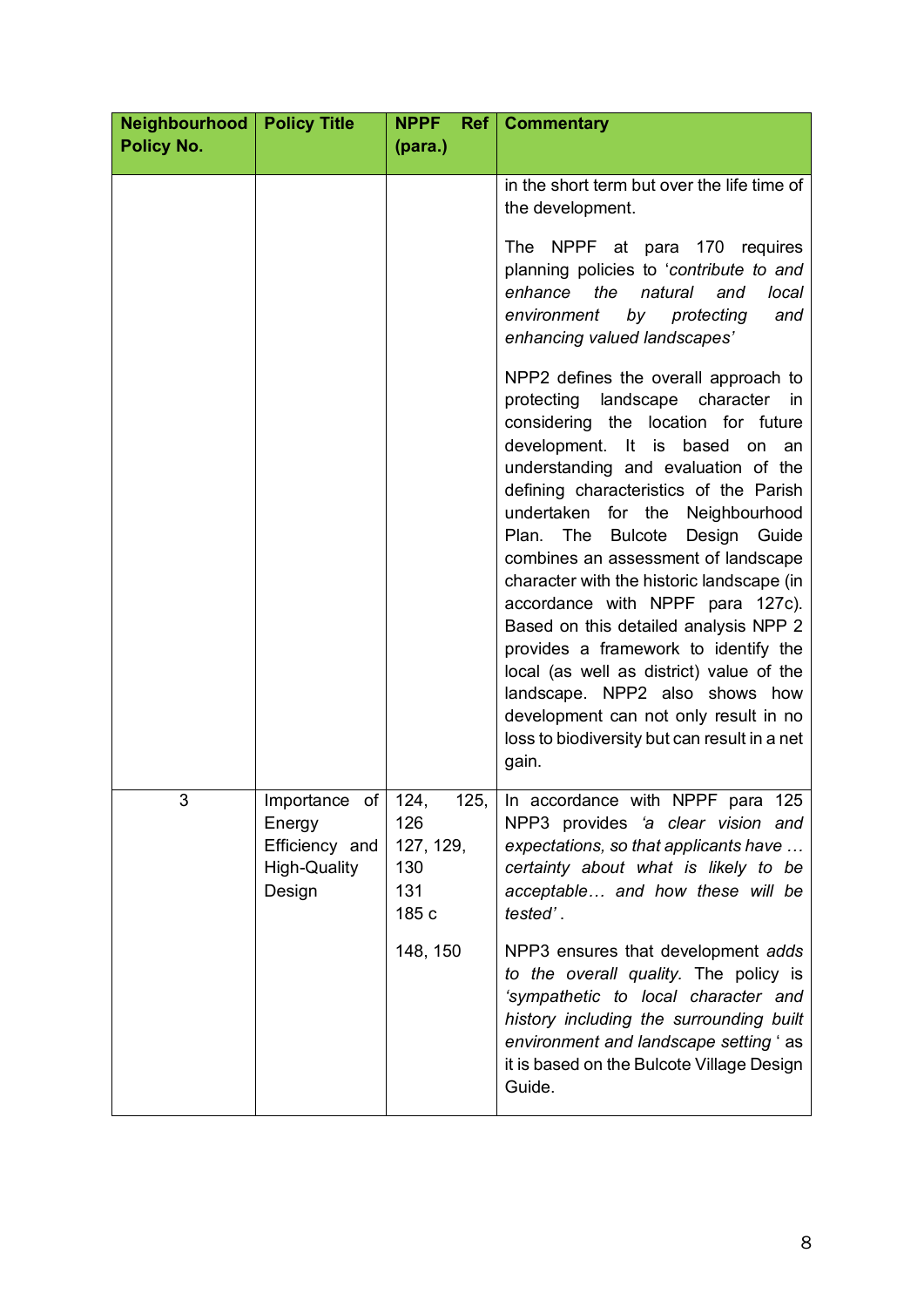| Neighbourhood<br><b>Policy Title</b><br><b>NPPF</b> |                                                                                                       | <b>Ref</b>   Commentary                                     |                                                                                                                                                                                                                                                                                                                                                                                                                                                                                                                                                                                                                                                                                                                                         |  |
|-----------------------------------------------------|-------------------------------------------------------------------------------------------------------|-------------------------------------------------------------|-----------------------------------------------------------------------------------------------------------------------------------------------------------------------------------------------------------------------------------------------------------------------------------------------------------------------------------------------------------------------------------------------------------------------------------------------------------------------------------------------------------------------------------------------------------------------------------------------------------------------------------------------------------------------------------------------------------------------------------------|--|
| <b>Policy No.</b>                                   |                                                                                                       | (para.)                                                     |                                                                                                                                                                                                                                                                                                                                                                                                                                                                                                                                                                                                                                                                                                                                         |  |
|                                                     |                                                                                                       |                                                             | in the short term but over the life time of<br>the development.<br>NPPF at para 170 requires<br>The<br>planning policies to 'contribute to and<br>enhance<br>the<br>natural<br>and<br>local<br>environment<br>by<br>protecting<br>and<br>enhancing valued landscapes'                                                                                                                                                                                                                                                                                                                                                                                                                                                                   |  |
|                                                     |                                                                                                       |                                                             | NPP2 defines the overall approach to<br>landscape<br>character in<br>protecting<br>considering the location for future<br>development. It is<br>based<br>on<br>an<br>understanding and evaluation of the<br>defining characteristics of the Parish<br>undertaken<br>for the Neighbourhood<br><b>Bulcote</b><br>Plan.<br>The<br>Design<br>Guide<br>combines an assessment of landscape<br>character with the historic landscape (in<br>accordance with NPPF para 127c).<br>Based on this detailed analysis NPP 2<br>provides a framework to identify the<br>local (as well as district) value of the<br>landscape. NPP2 also shows how<br>development can not only result in no<br>loss to biodiversity but can result in a net<br>gain. |  |
| 3                                                   | $\overline{\text{Importance}}$ of   124,<br>Energy<br>Efficiency and<br><b>High-Quality</b><br>Design | 125,<br>126<br>127, 129,<br>130<br>131<br>185 c<br>148, 150 | In accordance with NPPF para 125<br>NPP3 provides 'a clear vision and<br>expectations, so that applicants have<br>certainty about what is likely to be<br>acceptable and how these will be<br>tested'.<br>NPP3 ensures that development adds<br>to the overall quality. The policy is<br>'sympathetic to local character and<br>history including the surrounding built<br>environment and landscape setting 'as<br>it is based on the Bulcote Village Design<br>Guide.                                                                                                                                                                                                                                                                 |  |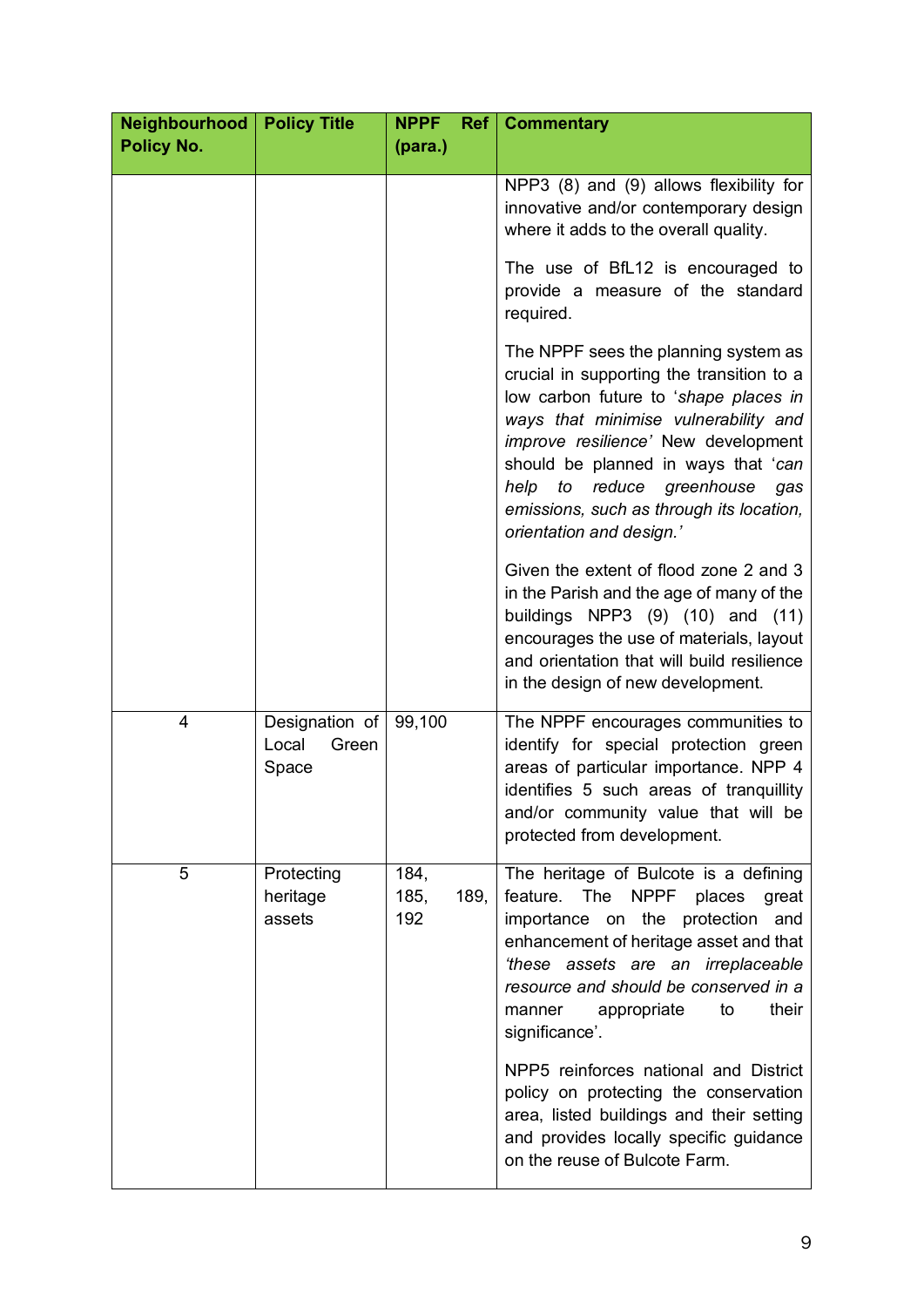| Neighbourhood<br><b>Policy No.</b> | <b>Policy Title</b>                       | <b>NPPF</b><br>(para.) |      | <b>Ref</b>   Commentary                                                                                                                                                                                                                                                                                                                                         |
|------------------------------------|-------------------------------------------|------------------------|------|-----------------------------------------------------------------------------------------------------------------------------------------------------------------------------------------------------------------------------------------------------------------------------------------------------------------------------------------------------------------|
|                                    |                                           |                        |      | NPP3 (8) and (9) allows flexibility for<br>innovative and/or contemporary design<br>where it adds to the overall quality.                                                                                                                                                                                                                                       |
|                                    |                                           |                        |      | The use of BfL12 is encouraged to<br>provide a measure of the standard<br>required.                                                                                                                                                                                                                                                                             |
|                                    |                                           |                        |      | The NPPF sees the planning system as<br>crucial in supporting the transition to a<br>low carbon future to 'shape places in<br>ways that minimise vulnerability and<br>improve resilience' New development<br>should be planned in ways that 'can<br>to reduce greenhouse<br>help<br>gas<br>emissions, such as through its location,<br>orientation and design.' |
|                                    |                                           |                        |      | Given the extent of flood zone 2 and 3<br>in the Parish and the age of many of the<br>buildings NPP3 $(9)$ $(10)$ and $(11)$<br>encourages the use of materials, layout<br>and orientation that will build resilience<br>in the design of new development.                                                                                                      |
| $\overline{4}$                     | Designation of<br>Local<br>Green<br>Space | 99,100                 |      | The NPPF encourages communities to<br>identify for special protection green<br>areas of particular importance. NPP 4<br>identifies 5 such areas of tranquillity<br>and/or community value that will be<br>protected from development.                                                                                                                           |
| 5                                  | Protecting<br>heritage<br>assets          | 184,<br>185,<br>192    | 189, | The heritage of Bulcote is a defining<br>feature. The NPPF places<br>great<br>importance on the protection<br>and<br>enhancement of heritage asset and that<br>these assets are an irreplaceable<br>resource and should be conserved in a<br>their<br>appropriate<br>to<br>manner<br>significance'.                                                             |
|                                    |                                           |                        |      | NPP5 reinforces national and District<br>policy on protecting the conservation<br>area, listed buildings and their setting<br>and provides locally specific guidance<br>on the reuse of Bulcote Farm.                                                                                                                                                           |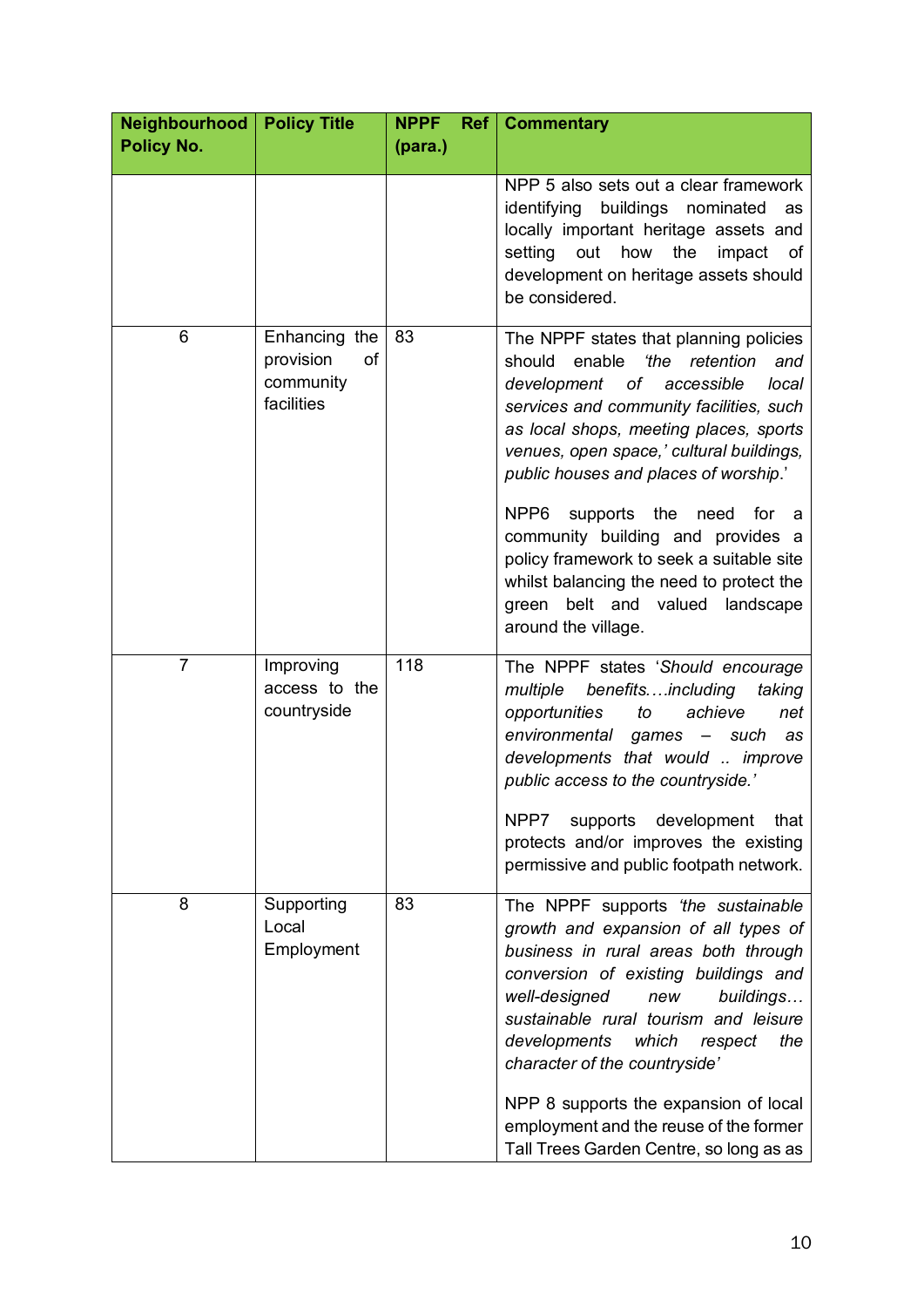| Neighbourhood<br><b>Policy No.</b> | <b>Policy Title</b>                                         | <b>NPPF</b><br>Ref <br>(para.) | <b>Commentary</b>                                                                                                                                                                                                                                                                                                                                                                                                                                  |
|------------------------------------|-------------------------------------------------------------|--------------------------------|----------------------------------------------------------------------------------------------------------------------------------------------------------------------------------------------------------------------------------------------------------------------------------------------------------------------------------------------------------------------------------------------------------------------------------------------------|
|                                    |                                                             |                                | NPP 5 also sets out a clear framework<br>identifying<br>buildings nominated<br>as<br>locally important heritage assets and<br>setting<br>out<br>how<br>the<br>impact<br>of<br>development on heritage assets should<br>be considered.                                                                                                                                                                                                              |
| 6                                  | Enhancing the<br>provision<br>of<br>community<br>facilities | 83                             | The NPPF states that planning policies<br>enable<br>'the retention<br>should<br>and<br>of<br>development<br>accessible<br>local<br>services and community facilities, such<br>as local shops, meeting places, sports<br>venues, open space,' cultural buildings,<br>public houses and places of worship.'                                                                                                                                          |
|                                    |                                                             |                                | NPP <sub>6</sub><br>supports the<br>need<br>for<br>community building and provides a<br>policy framework to seek a suitable site<br>whilst balancing the need to protect the<br>green belt and valued landscape<br>around the village.                                                                                                                                                                                                             |
| $\overline{7}$                     | Improving<br>access to the<br>countryside                   | 118                            | The NPPF states 'Should encourage<br>benefitsincluding<br>multiple<br>taking<br>achieve<br>opportunities<br>to<br>net<br>environmental games - such<br>as<br>developments that would  improve<br>public access to the countryside.'                                                                                                                                                                                                                |
|                                    |                                                             |                                | supports<br>NPP7<br>development<br>that<br>protects and/or improves the existing<br>permissive and public footpath network.                                                                                                                                                                                                                                                                                                                        |
| 8                                  | Supporting<br>Local<br>Employment                           | 83                             | The NPPF supports 'the sustainable<br>growth and expansion of all types of<br>business in rural areas both through<br>conversion of existing buildings and<br>well-designed<br>buildings<br>new<br>sustainable rural tourism and leisure<br>developments<br>the<br>which<br>respect<br>character of the countryside'<br>NPP 8 supports the expansion of local<br>employment and the reuse of the former<br>Tall Trees Garden Centre, so long as as |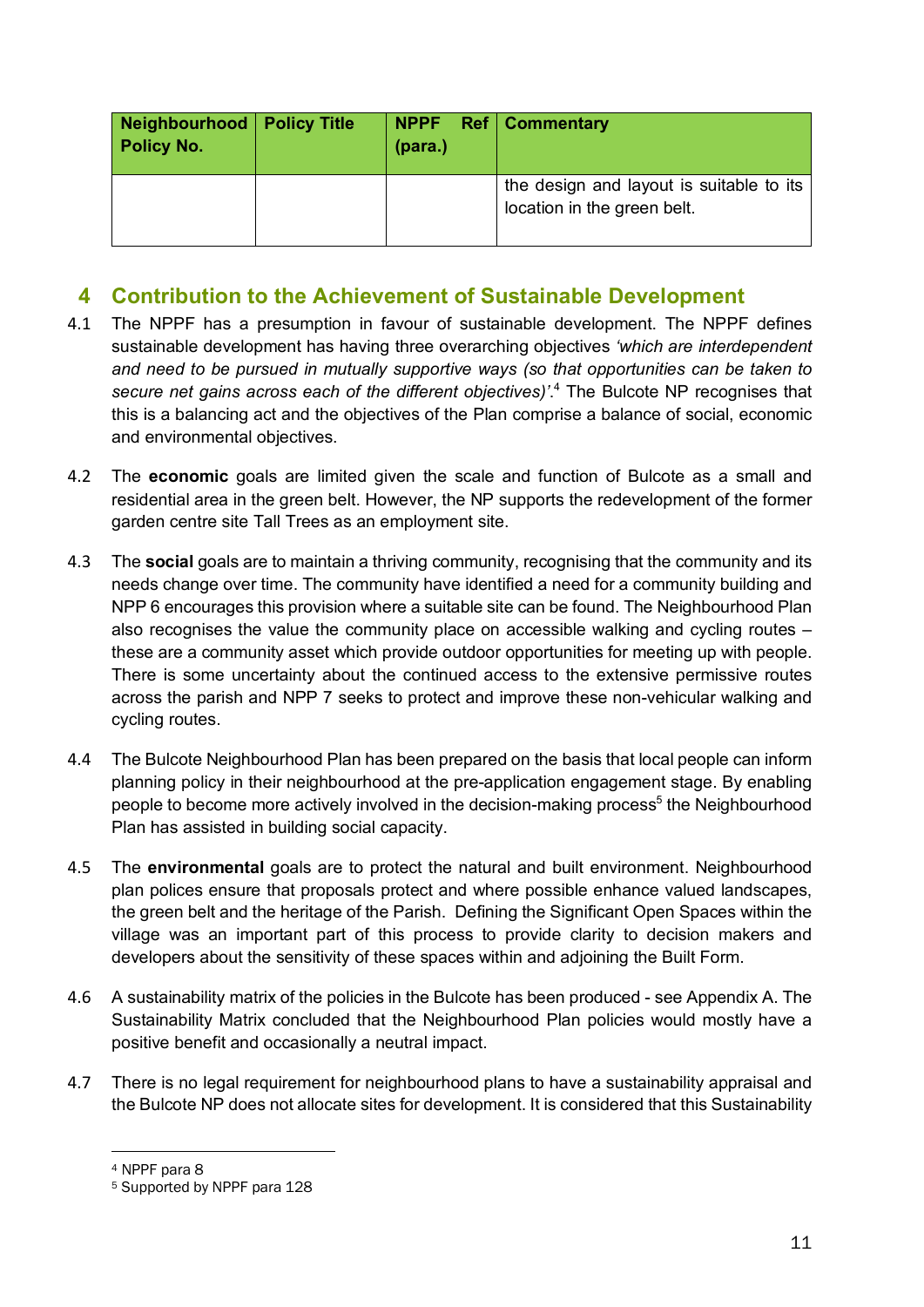| Neighbourhood   Policy Title<br><b>Policy No.</b> | (para.) | NPPF Ref Commentary                                                     |
|---------------------------------------------------|---------|-------------------------------------------------------------------------|
|                                                   |         | the design and layout is suitable to its<br>location in the green belt. |

#### **4 Contribution to the Achievement of Sustainable Development**

- 4.1 The NPPF has a presumption in favour of sustainable development. The NPPF defines sustainable development has having three overarching objectives *'which are interdependent and need to be pursued in mutually supportive ways (so that opportunities can be taken to secure net gains across each of the different objectives)'*. <sup>4</sup> The Bulcote NP recognises that this is a balancing act and the objectives of the Plan comprise a balance of social, economic and environmental objectives.
- 4.2 The **economic** goals are limited given the scale and function of Bulcote as a small and residential area in the green belt. However, the NP supports the redevelopment of the former garden centre site Tall Trees as an employment site.
- 4.3 The **social** goals are to maintain a thriving community, recognising that the community and its needs change over time. The community have identified a need for a community building and NPP 6 encourages this provision where a suitable site can be found. The Neighbourhood Plan also recognises the value the community place on accessible walking and cycling routes – these are a community asset which provide outdoor opportunities for meeting up with people. There is some uncertainty about the continued access to the extensive permissive routes across the parish and NPP 7 seeks to protect and improve these non-vehicular walking and cycling routes.
- 4.4 The Bulcote Neighbourhood Plan has been prepared on the basis that local people can inform planning policy in their neighbourhood at the pre-application engagement stage. By enabling people to become more actively involved in the decision-making process<sup>5</sup> the Neighbourhood Plan has assisted in building social capacity.
- 4.5 The **environmental** goals are to protect the natural and built environment. Neighbourhood plan polices ensure that proposals protect and where possible enhance valued landscapes, the green belt and the heritage of the Parish. Defining the Significant Open Spaces within the village was an important part of this process to provide clarity to decision makers and developers about the sensitivity of these spaces within and adjoining the Built Form.
- 4.6 A sustainability matrix of the policies in the Bulcote has been produced see Appendix A. The Sustainability Matrix concluded that the Neighbourhood Plan policies would mostly have a positive benefit and occasionally a neutral impact.
- 4.7 There is no legal requirement for neighbourhood plans to have a sustainability appraisal and the Bulcote NP does not allocate sites for development. It is considered that this Sustainability

<sup>4</sup> NPPF para 8

<sup>5</sup> Supported by NPPF para 128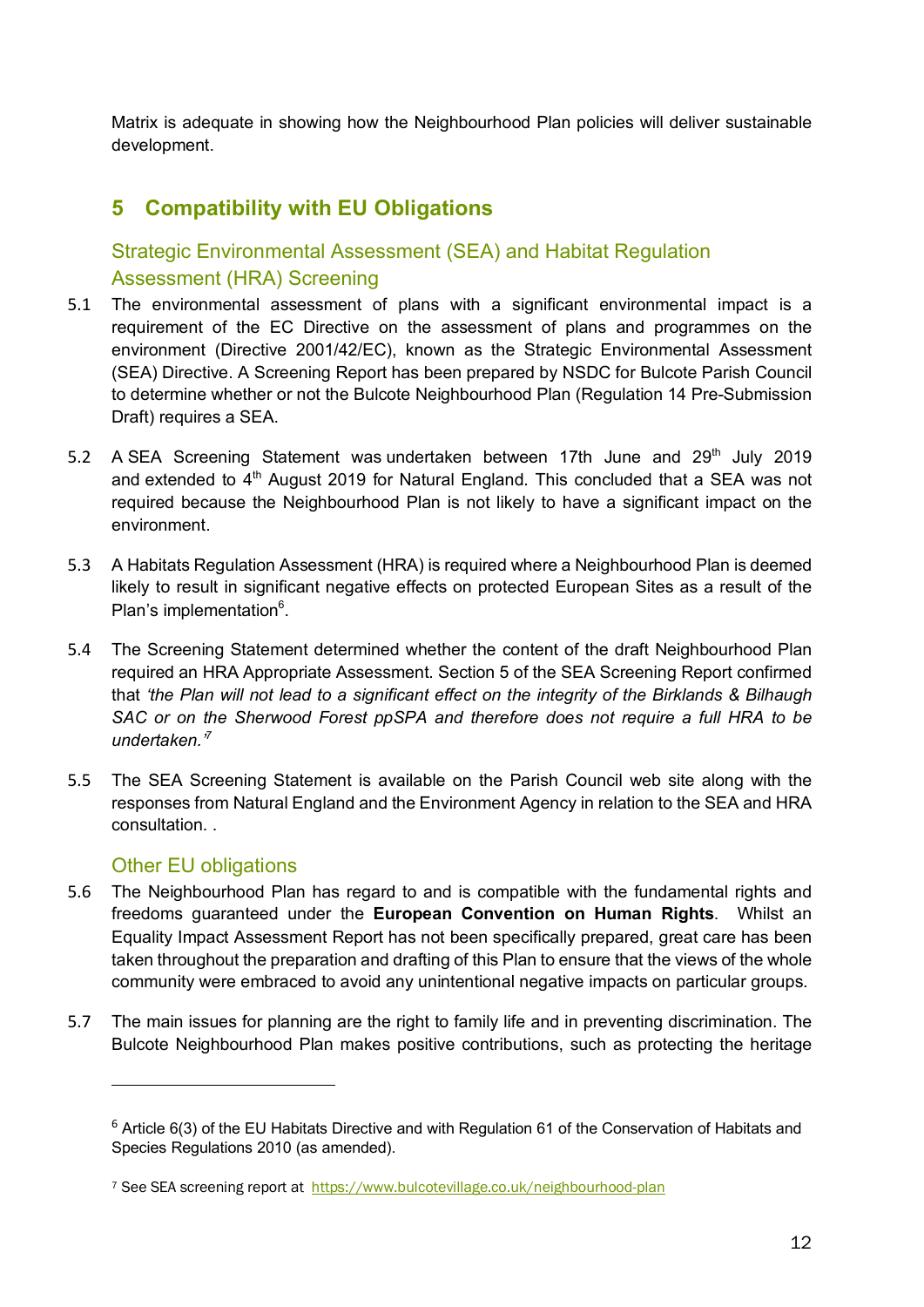Matrix is adequate in showing how the Neighbourhood Plan policies will deliver sustainable development.

#### **5 Compatibility with EU Obligations**

#### Strategic Environmental Assessment (SEA) and Habitat Regulation Assessment (HRA) Screening

- 5.1 The environmental assessment of plans with a significant environmental impact is a requirement of the EC Directive on the assessment of plans and programmes on the environment (Directive 2001/42/EC), known as the Strategic Environmental Assessment (SEA) Directive. A Screening Report has been prepared by NSDC for Bulcote Parish Council to determine whether or not the Bulcote Neighbourhood Plan (Regulation 14 Pre-Submission Draft) requires a SEA.
- 5.2 A SEA Screening Statement was undertaken between 17th June and 29<sup>th</sup> July 2019 and extended to  $4<sup>th</sup>$  August 2019 for Natural England. This concluded that a SEA was not required because the Neighbourhood Plan is not likely to have a significant impact on the environment.
- 5.3 A Habitats Regulation Assessment (HRA) is required where a Neighbourhood Plan is deemed likely to result in significant negative effects on protected European Sites as a result of the Plan's implementation<sup>6</sup>.
- 5.4 The Screening Statement determined whether the content of the draft Neighbourhood Plan required an HRA Appropriate Assessment. Section 5 of the SEA Screening Report confirmed that *'the Plan will not lead to a significant effect on the integrity of the Birklands & Bilhaugh*  SAC or on the Sherwood Forest ppSPA and therefore does not require a full HRA to be *undertaken.'7*
- 5.5 The SEA Screening Statement is available on the Parish Council web site along with the responses from Natural England and the Environment Agency in relation to the SEA and HRA consultation. .

#### Other EU obligations

- 5.6 The Neighbourhood Plan has regard to and is compatible with the fundamental rights and freedoms guaranteed under the **European Convention on Human Rights**. Whilst an Equality Impact Assessment Report has not been specifically prepared, great care has been taken throughout the preparation and drafting of this Plan to ensure that the views of the whole community were embraced to avoid any unintentional negative impacts on particular groups.
- 5.7 The main issues for planning are the right to family life and in preventing discrimination. The Bulcote Neighbourhood Plan makes positive contributions, such as protecting the heritage

<sup>6</sup> Article 6(3) of the EU Habitats Directive and with Regulation 61 of the Conservation of Habitats and Species Regulations 2010 (as amended).

<sup>&</sup>lt;sup>7</sup> See SEA screening report at https://www.bulcotevillage.co.uk/neighbourhood-plan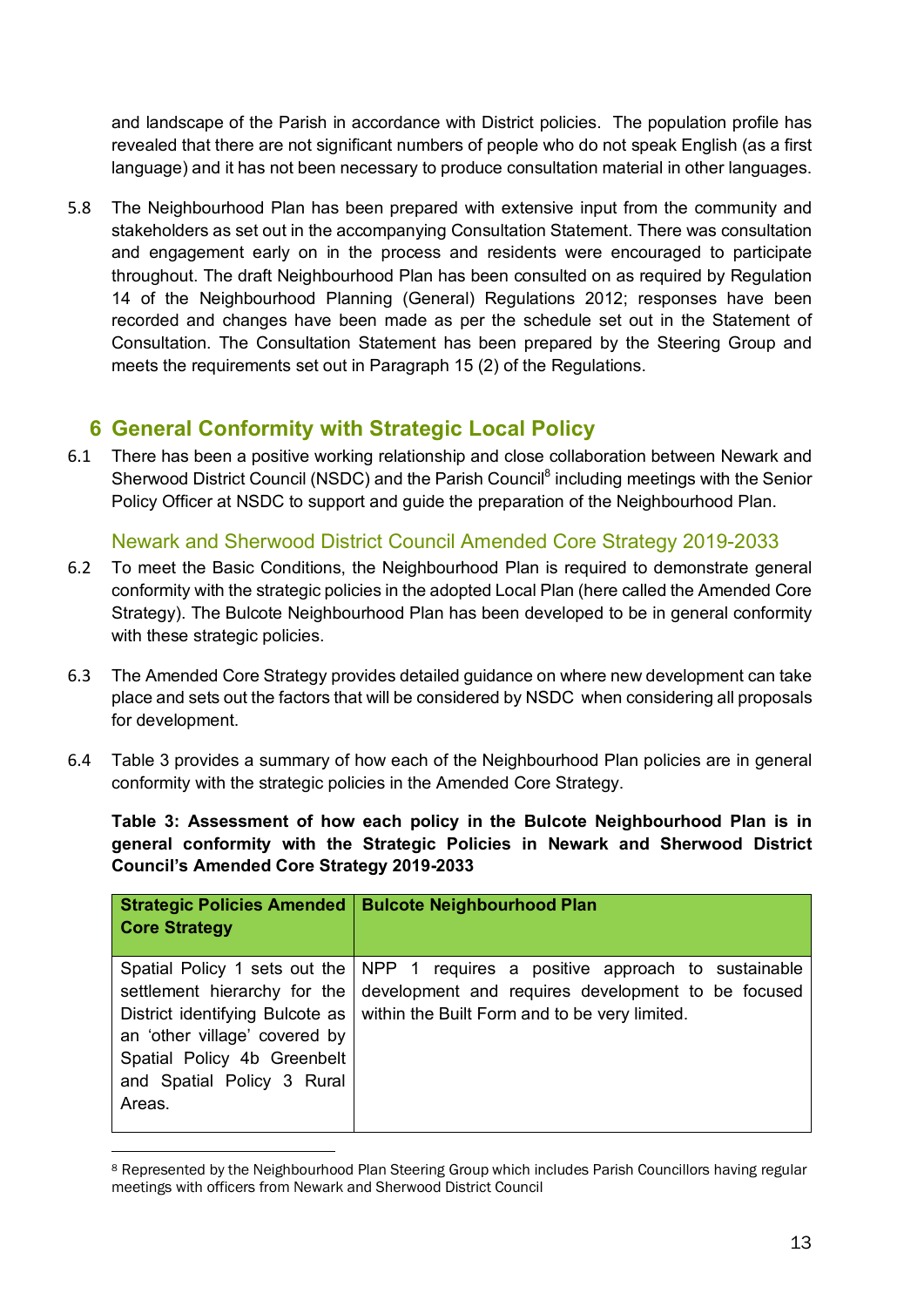and landscape of the Parish in accordance with District policies. The population profile has revealed that there are not significant numbers of people who do not speak English (as a first language) and it has not been necessary to produce consultation material in other languages.

5.8 The Neighbourhood Plan has been prepared with extensive input from the community and stakeholders as set out in the accompanying Consultation Statement. There was consultation and engagement early on in the process and residents were encouraged to participate throughout. The draft Neighbourhood Plan has been consulted on as required by Regulation 14 of the Neighbourhood Planning (General) Regulations 2012; responses have been recorded and changes have been made as per the schedule set out in the Statement of Consultation. The Consultation Statement has been prepared by the Steering Group and meets the requirements set out in Paragraph 15 (2) of the Regulations.

#### **6 General Conformity with Strategic Local Policy**

6.1 There has been a positive working relationship and close collaboration between Newark and Sherwood District Council (NSDC) and the Parish Council<sup>8</sup> including meetings with the Senior Policy Officer at NSDC to support and guide the preparation of the Neighbourhood Plan.

Newark and Sherwood District Council Amended Core Strategy 2019-2033

- 6.2 To meet the Basic Conditions, the Neighbourhood Plan is required to demonstrate general conformity with the strategic policies in the adopted Local Plan (here called the Amended Core Strategy). The Bulcote Neighbourhood Plan has been developed to be in general conformity with these strategic policies.
- 6.3 The Amended Core Strategy provides detailed guidance on where new development can take place and sets out the factors that will be considered by NSDC when considering all proposals for development.
- 6.4 Table 3 provides a summary of how each of the Neighbourhood Plan policies are in general conformity with the strategic policies in the Amended Core Strategy.

**Table 3: Assessment of how each policy in the Bulcote Neighbourhood Plan is in general conformity with the Strategic Policies in Newark and Sherwood District Council's Amended Core Strategy 2019-2033**

| <b>Strategic Policies Amended</b><br><b>Core Strategy</b>                                                                                                                                                | <b>Bulcote Neighbourhood Plan</b>                                                                                                                        |
|----------------------------------------------------------------------------------------------------------------------------------------------------------------------------------------------------------|----------------------------------------------------------------------------------------------------------------------------------------------------------|
| Spatial Policy 1 sets out the<br>settlement hierarchy for the<br>District identifying Bulcote as<br>an 'other village' covered by<br>Spatial Policy 4b Greenbelt<br>and Spatial Policy 3 Rural<br>Areas. | NPP 1 requires a positive approach to sustainable<br>development and requires development to be focused<br>within the Built Form and to be very limited. |

<sup>8</sup> Represented by the Neighbourhood Plan Steering Group which includes Parish Councillors having regular meetings with officers from Newark and Sherwood District Council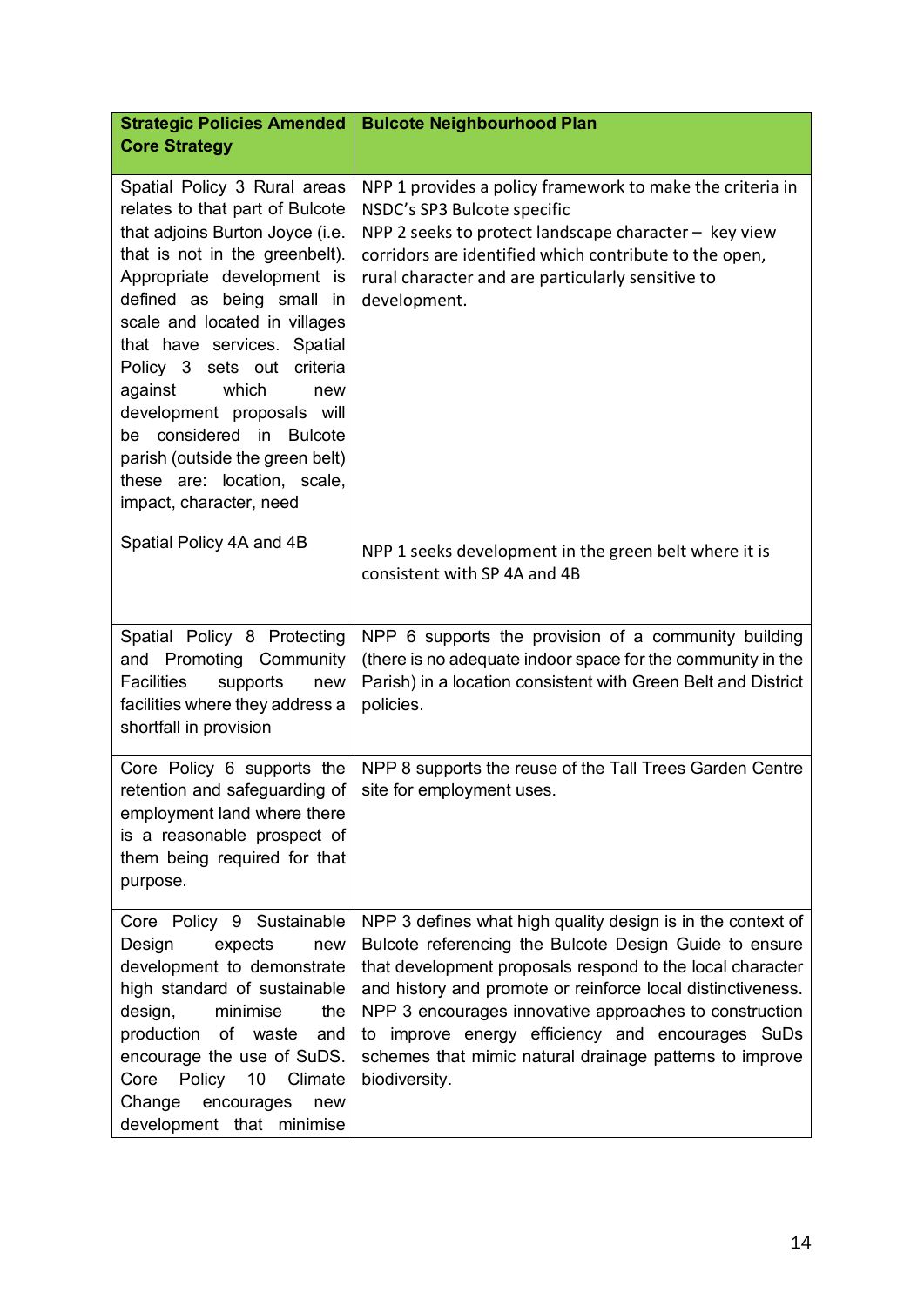| <b>Strategic Policies Amended</b>                                                                                                                                                                                                                                                                                                                                                                                                                                               | <b>Bulcote Neighbourhood Plan</b>                                                                                                                                                                                                                                                                                                                                                                                                           |
|---------------------------------------------------------------------------------------------------------------------------------------------------------------------------------------------------------------------------------------------------------------------------------------------------------------------------------------------------------------------------------------------------------------------------------------------------------------------------------|---------------------------------------------------------------------------------------------------------------------------------------------------------------------------------------------------------------------------------------------------------------------------------------------------------------------------------------------------------------------------------------------------------------------------------------------|
| <b>Core Strategy</b>                                                                                                                                                                                                                                                                                                                                                                                                                                                            |                                                                                                                                                                                                                                                                                                                                                                                                                                             |
| Spatial Policy 3 Rural areas<br>relates to that part of Bulcote<br>that adjoins Burton Joyce (i.e.<br>that is not in the greenbelt).<br>Appropriate development is<br>defined as being small in<br>scale and located in villages<br>that have services. Spatial<br>Policy 3 sets out criteria<br>which<br>against<br>new<br>development proposals will<br>be considered in Bulcote<br>parish (outside the green belt)<br>these are: location, scale,<br>impact, character, need | NPP 1 provides a policy framework to make the criteria in<br>NSDC's SP3 Bulcote specific<br>NPP 2 seeks to protect landscape character - key view<br>corridors are identified which contribute to the open,<br>rural character and are particularly sensitive to<br>development.                                                                                                                                                            |
| Spatial Policy 4A and 4B                                                                                                                                                                                                                                                                                                                                                                                                                                                        | NPP 1 seeks development in the green belt where it is<br>consistent with SP 4A and 4B                                                                                                                                                                                                                                                                                                                                                       |
| Spatial Policy 8 Protecting<br>and Promoting Community<br><b>Facilities</b><br>supports<br>new<br>facilities where they address a<br>shortfall in provision                                                                                                                                                                                                                                                                                                                     | NPP 6 supports the provision of a community building<br>(there is no adequate indoor space for the community in the<br>Parish) in a location consistent with Green Belt and District<br>policies.                                                                                                                                                                                                                                           |
| Core Policy 6 supports the<br>retention and safeguarding of<br>employment land where there<br>is a reasonable prospect of<br>them being required for that<br>purpose.                                                                                                                                                                                                                                                                                                           | NPP 8 supports the reuse of the Tall Trees Garden Centre<br>site for employment uses.                                                                                                                                                                                                                                                                                                                                                       |
| Core Policy 9 Sustainable<br>Design<br>expects<br>new<br>development to demonstrate<br>high standard of sustainable<br>design,<br>minimise<br>the<br>production<br>of<br>waste<br>and<br>encourage the use of SuDS.<br>Core Policy 10 Climate<br>Change<br>encourages<br>new<br>development that minimise                                                                                                                                                                       | NPP 3 defines what high quality design is in the context of<br>Bulcote referencing the Bulcote Design Guide to ensure<br>that development proposals respond to the local character<br>and history and promote or reinforce local distinctiveness.<br>NPP 3 encourages innovative approaches to construction<br>to improve energy efficiency and encourages SuDs<br>schemes that mimic natural drainage patterns to improve<br>biodiversity. |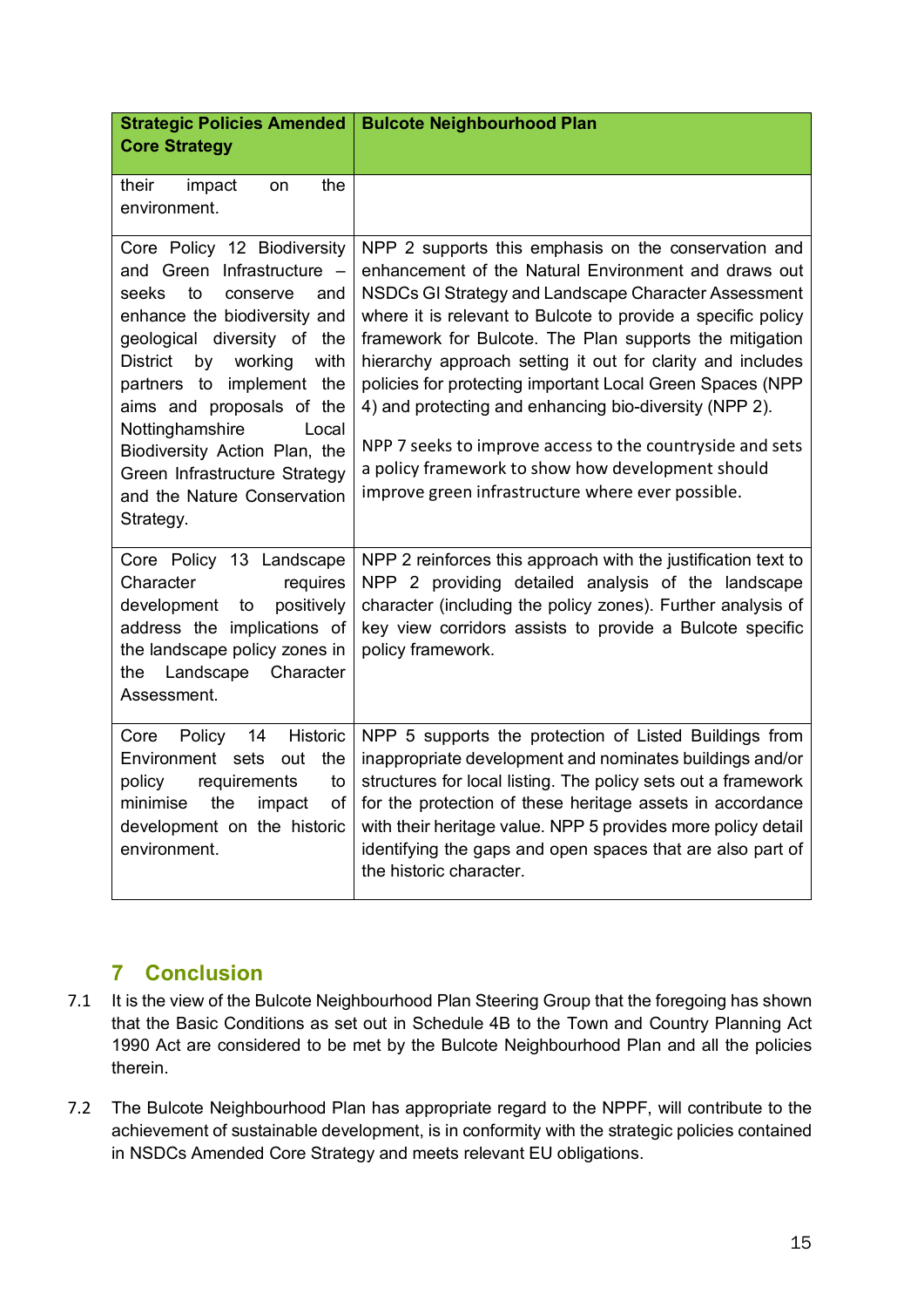| <b>Strategic Policies Amended</b><br><b>Core Strategy</b>                                                                                                                                                                                                                                                                                                                                                  | <b>Bulcote Neighbourhood Plan</b>                                                                                                                                                                                                                                                                                                                                                                                                                                                                                                                                                                                                                           |
|------------------------------------------------------------------------------------------------------------------------------------------------------------------------------------------------------------------------------------------------------------------------------------------------------------------------------------------------------------------------------------------------------------|-------------------------------------------------------------------------------------------------------------------------------------------------------------------------------------------------------------------------------------------------------------------------------------------------------------------------------------------------------------------------------------------------------------------------------------------------------------------------------------------------------------------------------------------------------------------------------------------------------------------------------------------------------------|
|                                                                                                                                                                                                                                                                                                                                                                                                            |                                                                                                                                                                                                                                                                                                                                                                                                                                                                                                                                                                                                                                                             |
| their<br>impact<br>the<br>on<br>environment.                                                                                                                                                                                                                                                                                                                                                               |                                                                                                                                                                                                                                                                                                                                                                                                                                                                                                                                                                                                                                                             |
| Core Policy 12 Biodiversity<br>and Green Infrastructure -<br>seeks<br>to<br>conserve<br>and<br>enhance the biodiversity and<br>geological diversity of the<br><b>District</b><br>by<br>working<br>with<br>partners to implement the<br>aims and proposals of the<br>Nottinghamshire<br>Local<br>Biodiversity Action Plan, the<br>Green Infrastructure Strategy<br>and the Nature Conservation<br>Strategy. | NPP 2 supports this emphasis on the conservation and<br>enhancement of the Natural Environment and draws out<br>NSDCs GI Strategy and Landscape Character Assessment<br>where it is relevant to Bulcote to provide a specific policy<br>framework for Bulcote. The Plan supports the mitigation<br>hierarchy approach setting it out for clarity and includes<br>policies for protecting important Local Green Spaces (NPP<br>4) and protecting and enhancing bio-diversity (NPP 2).<br>NPP 7 seeks to improve access to the countryside and sets<br>a policy framework to show how development should<br>improve green infrastructure where ever possible. |
| Core Policy 13 Landscape<br>Character<br>requires<br>positively<br>development<br>to<br>address the implications of<br>the landscape policy zones in<br>Landscape<br>Character<br>the<br>Assessment.                                                                                                                                                                                                       | NPP 2 reinforces this approach with the justification text to<br>NPP 2 providing detailed analysis of the landscape<br>character (including the policy zones). Further analysis of<br>key view corridors assists to provide a Bulcote specific<br>policy framework.                                                                                                                                                                                                                                                                                                                                                                                         |
| Policy 14<br>Historic<br>Core<br>Environment sets out<br>the<br>requirements<br>policy<br>to<br>minimise<br>the<br>impact<br>of<br>development on the historic<br>environment.                                                                                                                                                                                                                             | NPP 5 supports the protection of Listed Buildings from<br>inappropriate development and nominates buildings and/or<br>structures for local listing. The policy sets out a framework<br>for the protection of these heritage assets in accordance<br>with their heritage value. NPP 5 provides more policy detail<br>identifying the gaps and open spaces that are also part of<br>the historic character.                                                                                                                                                                                                                                                   |

#### **7 Conclusion**

- 7.1 It is the view of the Bulcote Neighbourhood Plan Steering Group that the foregoing has shown that the Basic Conditions as set out in Schedule 4B to the Town and Country Planning Act 1990 Act are considered to be met by the Bulcote Neighbourhood Plan and all the policies therein.
- 7.2 The Bulcote Neighbourhood Plan has appropriate regard to the NPPF, will contribute to the achievement of sustainable development, is in conformity with the strategic policies contained in NSDCs Amended Core Strategy and meets relevant EU obligations.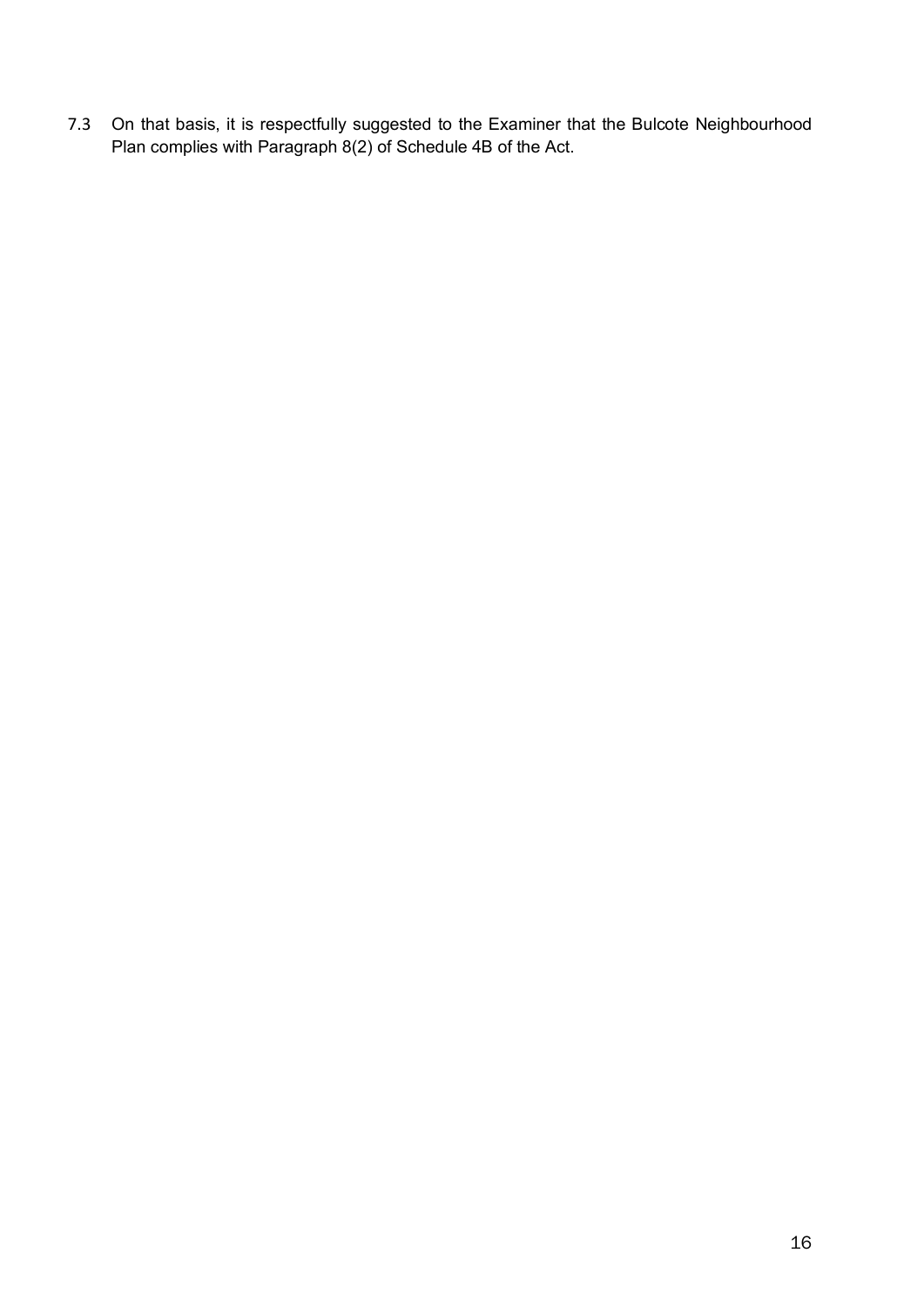7.3 On that basis, it is respectfully suggested to the Examiner that the Bulcote Neighbourhood Plan complies with Paragraph 8(2) of Schedule 4B of the Act.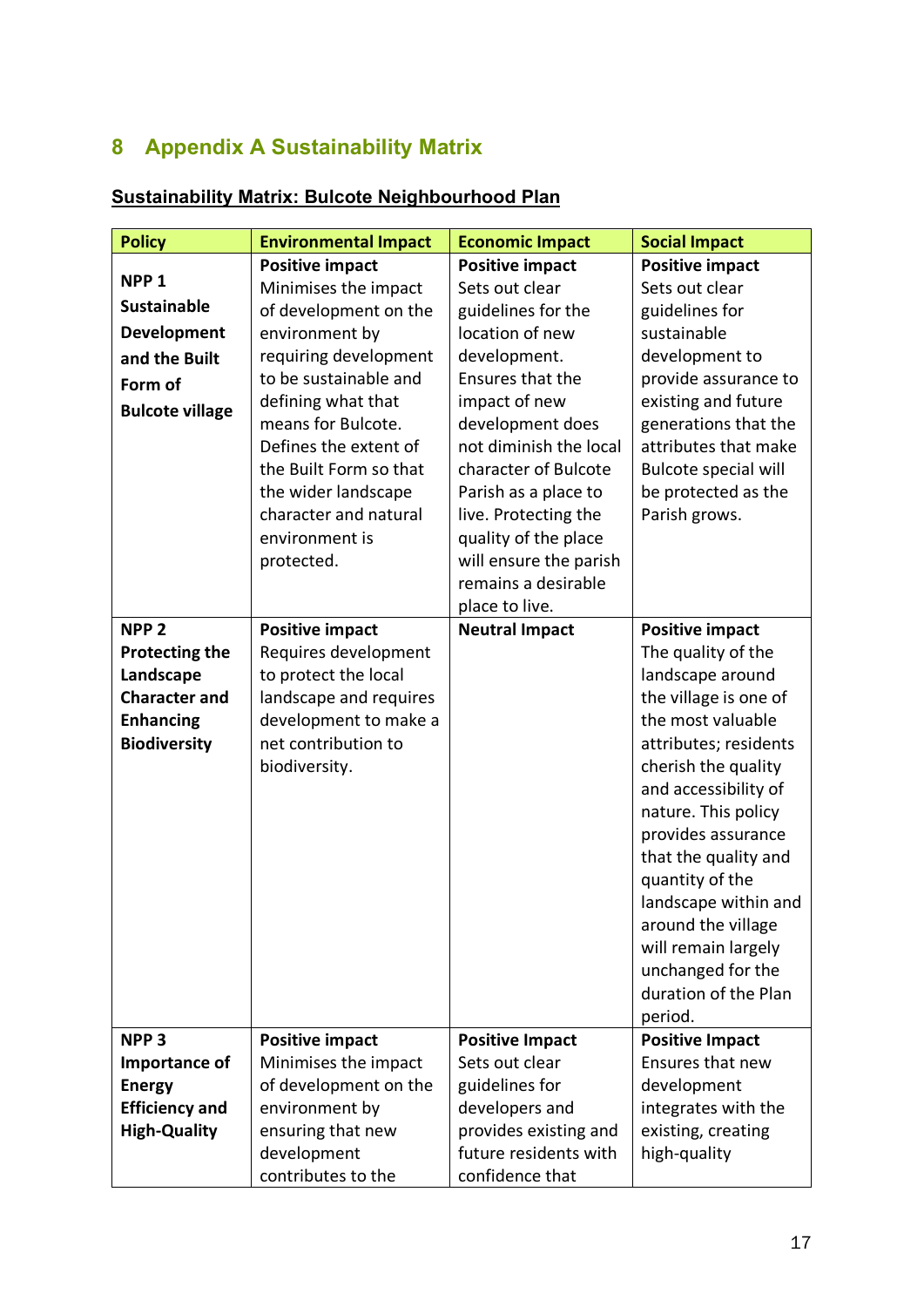### **8 Appendix A Sustainability Matrix**

| <b>Policy</b>          | <b>Environmental Impact</b> | <b>Economic Impact</b> | <b>Social Impact</b>                      |
|------------------------|-----------------------------|------------------------|-------------------------------------------|
|                        | <b>Positive impact</b>      | <b>Positive impact</b> | <b>Positive impact</b>                    |
| NPP <sub>1</sub>       | Minimises the impact        | Sets out clear         | Sets out clear                            |
| <b>Sustainable</b>     | of development on the       | guidelines for the     | guidelines for                            |
| <b>Development</b>     | environment by              | location of new        | sustainable                               |
| and the Built          | requiring development       | development.           | development to                            |
| Form of                | to be sustainable and       | Ensures that the       | provide assurance to                      |
| <b>Bulcote village</b> | defining what that          | impact of new          | existing and future                       |
|                        | means for Bulcote.          | development does       | generations that the                      |
|                        | Defines the extent of       | not diminish the local | attributes that make                      |
|                        | the Built Form so that      | character of Bulcote   | Bulcote special will                      |
|                        | the wider landscape         | Parish as a place to   | be protected as the                       |
|                        | character and natural       | live. Protecting the   | Parish grows.                             |
|                        | environment is              | quality of the place   |                                           |
|                        | protected.                  | will ensure the parish |                                           |
|                        |                             | remains a desirable    |                                           |
|                        |                             | place to live.         |                                           |
| NPP <sub>2</sub>       | <b>Positive impact</b>      | <b>Neutral Impact</b>  | <b>Positive impact</b>                    |
| <b>Protecting the</b>  | Requires development        |                        | The quality of the                        |
| Landscape              | to protect the local        |                        | landscape around                          |
| <b>Character and</b>   | landscape and requires      |                        | the village is one of                     |
| <b>Enhancing</b>       | development to make a       |                        | the most valuable                         |
| <b>Biodiversity</b>    | net contribution to         |                        | attributes; residents                     |
|                        | biodiversity.               |                        | cherish the quality                       |
|                        |                             |                        | and accessibility of                      |
|                        |                             |                        | nature. This policy                       |
|                        |                             |                        | provides assurance                        |
|                        |                             |                        | that the quality and                      |
|                        |                             |                        | quantity of the                           |
|                        |                             |                        | landscape within and                      |
|                        |                             |                        | around the village                        |
|                        |                             |                        | will remain largely                       |
|                        |                             |                        | unchanged for the<br>duration of the Plan |
|                        |                             |                        | period.                                   |
| NPP <sub>3</sub>       | <b>Positive impact</b>      | <b>Positive Impact</b> | <b>Positive Impact</b>                    |
| Importance of          | Minimises the impact        | Sets out clear         | Ensures that new                          |
| <b>Energy</b>          | of development on the       | guidelines for         | development                               |
| <b>Efficiency and</b>  | environment by              | developers and         | integrates with the                       |
| <b>High-Quality</b>    | ensuring that new           | provides existing and  | existing, creating                        |
|                        | development                 | future residents with  | high-quality                              |
|                        | contributes to the          | confidence that        |                                           |

#### **Sustainability Matrix: Bulcote Neighbourhood Plan**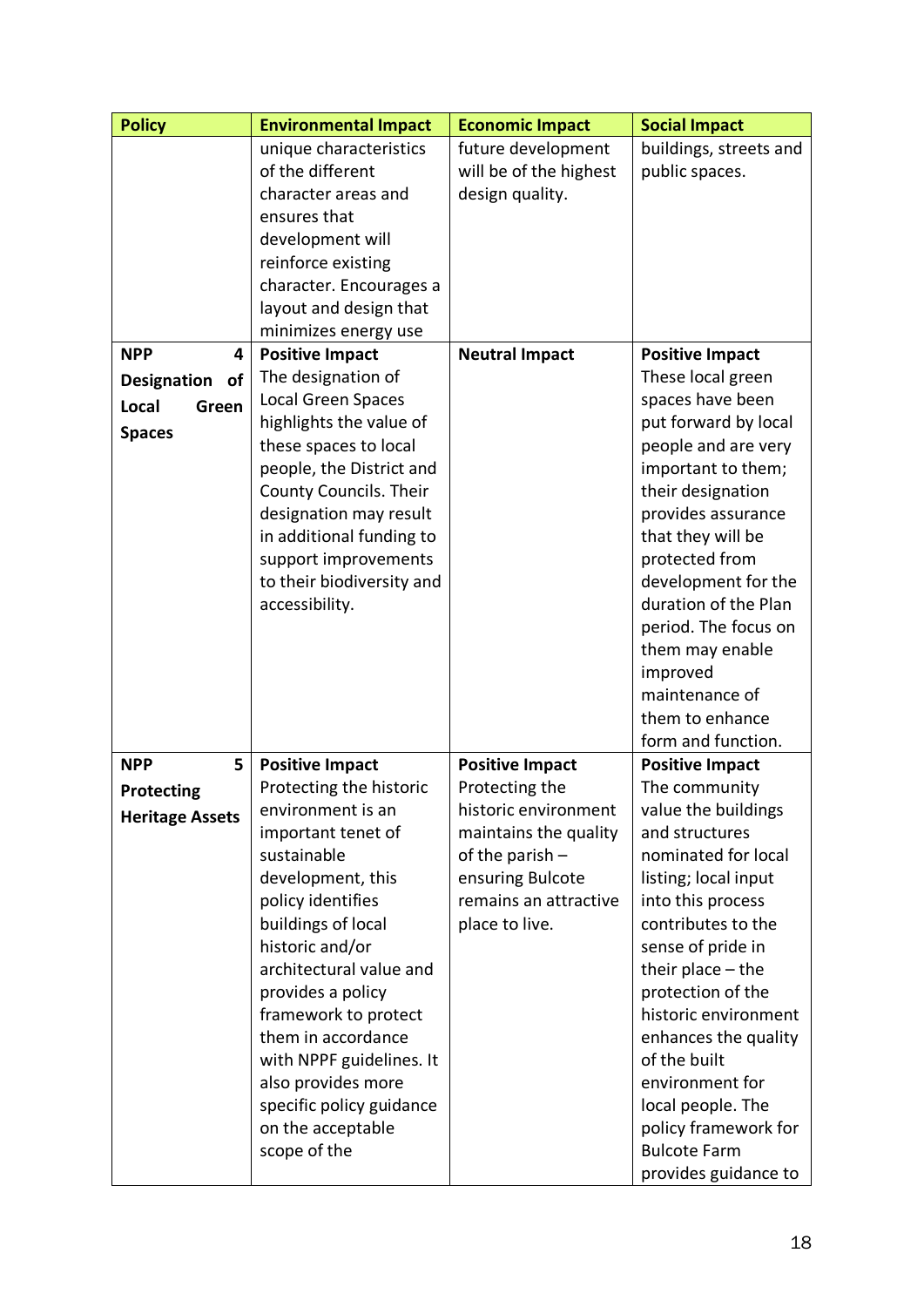| <b>Policy</b>            | <b>Environmental Impact</b>                | <b>Economic Impact</b> | <b>Social Impact</b>                      |
|--------------------------|--------------------------------------------|------------------------|-------------------------------------------|
|                          | unique characteristics                     | future development     | buildings, streets and                    |
|                          | of the different                           | will be of the highest | public spaces.                            |
|                          | character areas and                        | design quality.        |                                           |
|                          | ensures that                               |                        |                                           |
|                          | development will                           |                        |                                           |
|                          | reinforce existing                         |                        |                                           |
|                          | character. Encourages a                    |                        |                                           |
|                          | layout and design that                     |                        |                                           |
|                          | minimizes energy use                       |                        |                                           |
| <b>NPP</b><br>4          | <b>Positive Impact</b>                     | <b>Neutral Impact</b>  | <b>Positive Impact</b>                    |
| <b>Designation</b><br>of | The designation of                         |                        | These local green                         |
| Local<br>Green           | Local Green Spaces                         |                        | spaces have been                          |
| <b>Spaces</b>            | highlights the value of                    |                        | put forward by local                      |
|                          | these spaces to local                      |                        | people and are very                       |
|                          | people, the District and                   |                        | important to them;                        |
|                          | County Councils. Their                     |                        | their designation                         |
|                          | designation may result                     |                        | provides assurance                        |
|                          | in additional funding to                   |                        | that they will be                         |
|                          | support improvements                       |                        | protected from                            |
|                          | to their biodiversity and                  |                        | development for the                       |
|                          | accessibility.                             |                        | duration of the Plan                      |
|                          |                                            |                        | period. The focus on                      |
|                          |                                            |                        | them may enable                           |
|                          |                                            |                        | improved                                  |
|                          |                                            |                        | maintenance of                            |
|                          |                                            |                        | them to enhance                           |
|                          |                                            |                        | form and function.                        |
| <b>NPP</b><br>5          | <b>Positive Impact</b>                     | <b>Positive Impact</b> | <b>Positive Impact</b>                    |
| <b>Protecting</b>        | Protecting the historic                    | Protecting the         | The community                             |
| <b>Heritage Assets</b>   | environment is an                          | historic environment   | value the buildings                       |
|                          | important tenet of                         | maintains the quality  | and structures                            |
|                          | sustainable                                | of the parish $-$      | nominated for local                       |
|                          | development, this                          | ensuring Bulcote       | listing; local input                      |
|                          | policy identifies                          | remains an attractive  | into this process<br>contributes to the   |
|                          | buildings of local                         | place to live.         |                                           |
|                          | historic and/or<br>architectural value and |                        | sense of pride in                         |
|                          | provides a policy                          |                        | their place $-$ the                       |
|                          |                                            |                        | protection of the<br>historic environment |
|                          | framework to protect<br>them in accordance |                        | enhances the quality                      |
|                          | with NPPF guidelines. It                   |                        | of the built                              |
|                          | also provides more                         |                        | environment for                           |
|                          | specific policy guidance                   |                        | local people. The                         |
|                          | on the acceptable                          |                        | policy framework for                      |
|                          | scope of the                               |                        | <b>Bulcote Farm</b>                       |
|                          |                                            |                        | provides guidance to                      |